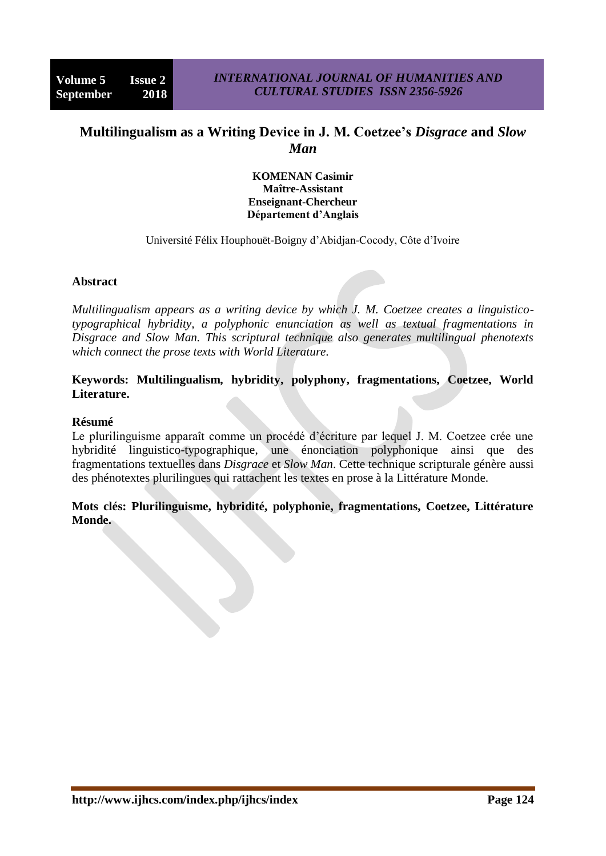# **Multilingualism as a Writing Device in J. M. Coetzee's** *Disgrace* **and** *Slow Man*

**KOMENAN Casimir Maître-Assistant Enseignant-Chercheur Département d'Anglais**

Université Félix Houphouët-Boigny d"Abidjan-Cocody, Côte d"Ivoire

#### **Abstract**

*Multilingualism appears as a writing device by which J. M. Coetzee creates a linguisticotypographical hybridity, a polyphonic enunciation as well as textual fragmentations in Disgrace and Slow Man. This scriptural technique also generates multilingual phenotexts which connect the prose texts with World Literature.*

### **Keywords: Multilingualism, hybridity, polyphony, fragmentations, Coetzee, World Literature.**

#### **Résumé**

Le plurilinguisme apparaît comme un procédé d'écriture par lequel J. M. Coetzee crée une hybridité linguistico-typographique, une énonciation polyphonique ainsi que des fragmentations textuelles dans *Disgrace* et *Slow Man*. Cette technique scripturale génère aussi des phénotextes plurilingues qui rattachent les textes en prose à la Littérature Monde.

## **Mots clés: Plurilinguisme, hybridité, polyphonie, fragmentations, Coetzee, Littérature Monde.**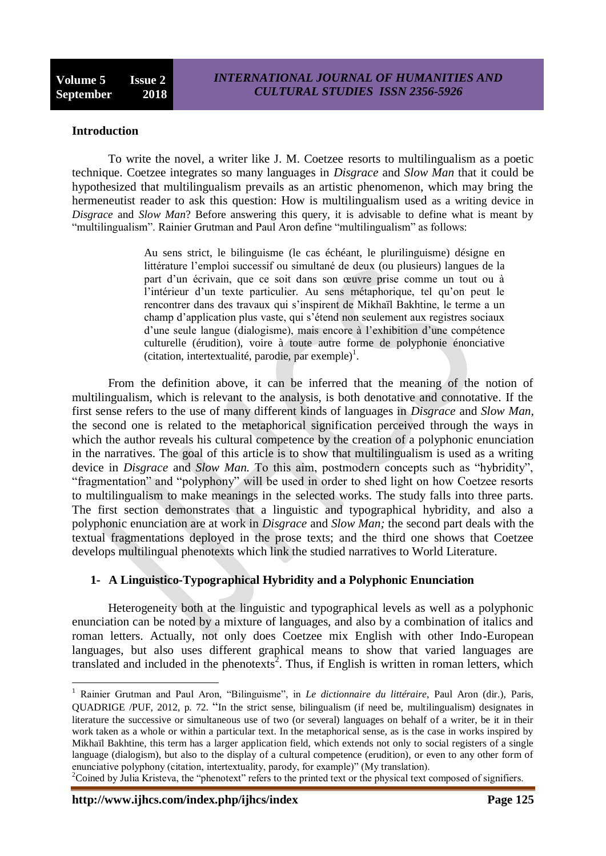### **Introduction**

To write the novel, a writer like J. M. Coetzee resorts to multilingualism as a poetic technique. Coetzee integrates so many languages in *Disgrace* and *Slow Man* that it could be hypothesized that multilingualism prevails as an artistic phenomenon, which may bring the hermeneutist reader to ask this question: How is multilingualism used as a writing device in *Disgrace* and *Slow Man*? Before answering this query, it is advisable to define what is meant by "multilingualism". Rainier Grutman and Paul Aron define "multilingualism" as follows:

> Au sens strict, le bilinguisme (le cas échéant, le plurilinguisme) désigne en littérature l"emploi successif ou simultané de deux (ou plusieurs) langues de la part d"un écrivain, que ce soit dans son œuvre prise comme un tout ou à l'intérieur d'un texte particulier. Au sens métaphorique, tel qu'on peut le rencontrer dans des travaux qui s"inspirent de Mikhaïl Bakhtine, le terme a un champ d"application plus vaste, qui s"étend non seulement aux registres sociaux d"une seule langue (dialogisme), mais encore à l"exhibition d"une compétence culturelle (érudition), voire à toute autre forme de polyphonie énonciative (citation, intertextualité, parodie, par exemple)<sup>1</sup>.

From the definition above, it can be inferred that the meaning of the notion of multilingualism, which is relevant to the analysis, is both denotative and connotative. If the first sense refers to the use of many different kinds of languages in *Disgrace* and *Slow Man,*  the second one is related to the metaphorical signification perceived through the ways in which the author reveals his cultural competence by the creation of a polyphonic enunciation in the narratives. The goal of this article is to show that multilingualism is used as a writing device in *Disgrace* and *Slow Man*. To this aim, postmodern concepts such as "hybridity", "fragmentation" and "polyphony" will be used in order to shed light on how Coetzee resorts to multilingualism to make meanings in the selected works. The study falls into three parts. The first section demonstrates that a linguistic and typographical hybridity, and also a polyphonic enunciation are at work in *Disgrace* and *Slow Man;* the second part deals with the textual fragmentations deployed in the prose texts; and the third one shows that Coetzee develops multilingual phenotexts which link the studied narratives to World Literature.

## **1- A Linguistico-Typographical Hybridity and a Polyphonic Enunciation**

Heterogeneity both at the linguistic and typographical levels as well as a polyphonic enunciation can be noted by a mixture of languages, and also by a combination of italics and roman letters. Actually, not only does Coetzee mix English with other Indo-European languages, but also uses different graphical means to show that varied languages are translated and included in the phenotexts<sup>2</sup>. Thus, if English is written in roman letters, which

**http://www.ijhcs.com/index.php/ijhcs/index Page 125**

<sup>1</sup> Rainier Grutman and Paul Aron, "Bilinguisme", in *Le dictionnaire du littéraire*, Paul Aron (dir.), Paris, QUADRIGE /PUF, 2012, p. 72. "In the strict sense, bilingualism (if need be, multilingualism) designates in literature the successive or simultaneous use of two (or several) languages on behalf of a writer, be it in their work taken as a whole or within a particular text. In the metaphorical sense, as is the case in works inspired by Mikhaïl Bakhtine, this term has a larger application field, which extends not only to social registers of a single language (dialogism), but also to the display of a cultural competence (erudition), or even to any other form of enunciative polyphony (citation, intertextuality, parody, for example)" (My translation).

<sup>&</sup>lt;sup>2</sup>Coined by Julia Kristeva, the "phenotext" refers to the printed text or the physical text composed of signifiers.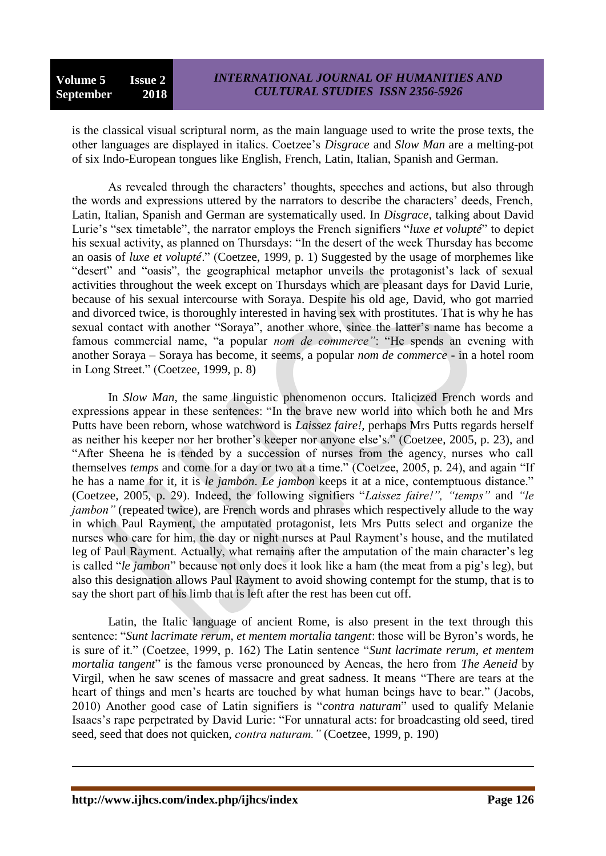is the classical visual scriptural norm, as the main language used to write the prose texts, the other languages are displayed in italics. Coetzee"s *Disgrace* and *Slow Man* are a melting-pot of six Indo-European tongues like English, French, Latin, Italian, Spanish and German.

As revealed through the characters' thoughts, speeches and actions, but also through the words and expressions uttered by the narrators to describe the characters' deeds, French, Latin, Italian, Spanish and German are systematically used. In *Disgrace*, talking about David Lurie's "sex timetable", the narrator employs the French signifiers "*luxe et volupté*" to depict his sexual activity, as planned on Thursdays: "In the desert of the week Thursday has become an oasis of *luxe et volupté*." (Coetzee, 1999, p. 1) Suggested by the usage of morphemes like "desert" and "oasis", the geographical metaphor unveils the protagonist's lack of sexual activities throughout the week except on Thursdays which are pleasant days for David Lurie, because of his sexual intercourse with Soraya. Despite his old age, David, who got married and divorced twice, is thoroughly interested in having sex with prostitutes. That is why he has sexual contact with another "Soraya", another whore, since the latter"s name has become a famous commercial name, "a popular *nom de commerce"*: "He spends an evening with another Soraya – Soraya has become, it seems, a popular *nom de commerce -* in a hotel room in Long Street." (Coetzee, 1999, p. 8)

In *Slow Man*, the same linguistic phenomenon occurs. Italicized French words and expressions appear in these sentences: "In the brave new world into which both he and Mrs Putts have been reborn, whose watchword is *Laissez faire!,* perhaps Mrs Putts regards herself as neither his keeper nor her brother"s keeper nor anyone else"s." (Coetzee, 2005, p. 23), and "After Sheena he is tended by a succession of nurses from the agency, nurses who call themselves *temps* and come for a day or two at a time." (Coetzee, 2005, p. 24), and again "If he has a name for it, it is *le jambon*. *Le jambon* keeps it at a nice, contemptuous distance." (Coetzee, 2005, p. 29). Indeed, the following signifiers "*Laissez faire!", "temps"* and *"le jambon*" (repeated twice), are French words and phrases which respectively allude to the way in which Paul Rayment, the amputated protagonist, lets Mrs Putts select and organize the nurses who care for him, the day or night nurses at Paul Rayment"s house, and the mutilated leg of Paul Rayment. Actually, what remains after the amputation of the main character"s leg is called "*le jambon*" because not only does it look like a ham (the meat from a pig"s leg), but also this designation allows Paul Rayment to avoid showing contempt for the stump, that is to say the short part of his limb that is left after the rest has been cut off.

Latin, the Italic language of ancient Rome, is also present in the text through this sentence: "*Sunt lacrimate rerum, et mentem mortalia tangent*: those will be Byron"s words, he is sure of it." (Coetzee, 1999, p. 162) The Latin sentence "*Sunt lacrimate rerum, et mentem mortalia tangent*" is the famous verse pronounced by Aeneas, the hero from *The Aeneid* by Virgil, when he saw scenes of massacre and great sadness. It means "There are tears at the heart of things and men's hearts are touched by what human beings have to bear." (Jacobs, 2010) Another good case of Latin signifiers is "*contra naturam*" used to qualify Melanie Isaacs"s rape perpetrated by David Lurie: "For unnatural acts: for broadcasting old seed, tired seed, seed that does not quicken, *contra naturam."* (Coetzee, 1999, p. 190)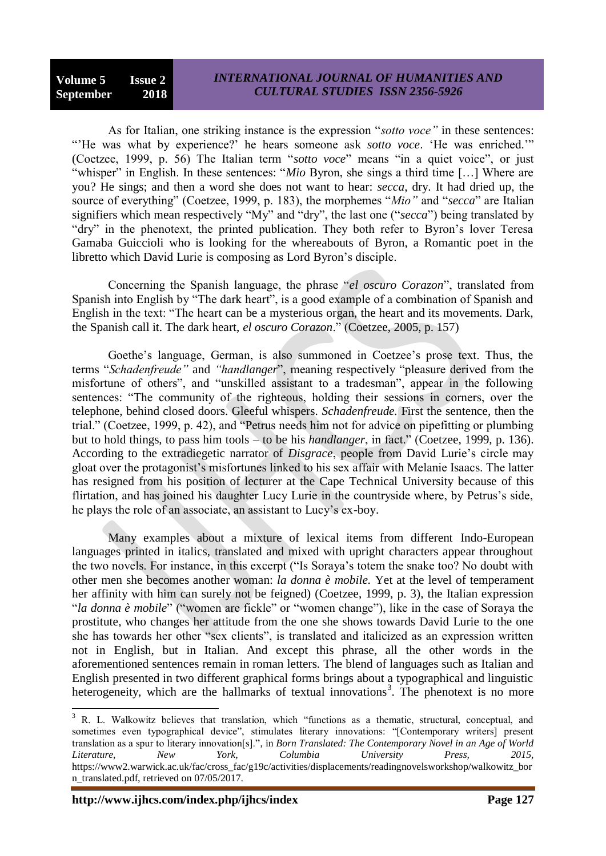## **Volume 5 Issue 2 September 2018**

## *INTERNATIONAL JOURNAL OF HUMANITIES AND CULTURAL STUDIES ISSN 2356-5926*

As for Italian, one striking instance is the expression "*sotto voce"* in these sentences: ""He was what by experience?" he hears someone ask *sotto voce*. "He was enriched."" (Coetzee, 1999, p. 56) The Italian term "*sotto voce*" means "in a quiet voice", or just "whisper" in English. In these sentences: "*Mio* Byron, she sings a third time […] Where are you? He sings; and then a word she does not want to hear: *secca*, dry. It had dried up, the source of everything" (Coetzee, 1999, p. 183), the morphemes "*Mio"* and "*secca*" are Italian signifiers which mean respectively "My" and "dry", the last one ("*secca*") being translated by "dry" in the phenotext, the printed publication. They both refer to Byron"s lover Teresa Gamaba Guiccioli who is looking for the whereabouts of Byron, a Romantic poet in the libretto which David Lurie is composing as Lord Byron"s disciple.

Concerning the Spanish language, the phrase "*el oscuro Corazon*", translated from Spanish into English by "The dark heart", is a good example of a combination of Spanish and English in the text: "The heart can be a mysterious organ, the heart and its movements. Dark, the Spanish call it. The dark heart, *el oscuro Corazon*." (Coetzee, 2005, p. 157)

Goethe"s language, German, is also summoned in Coetzee"s prose text. Thus, the terms "*Schadenfreude"* and *"handlanger*", meaning respectively "pleasure derived from the misfortune of others", and "unskilled assistant to a tradesman", appear in the following sentences: "The community of the righteous, holding their sessions in corners, over the telephone, behind closed doors. Gleeful whispers. *Schadenfreude.* First the sentence, then the trial." (Coetzee, 1999, p. 42), and "Petrus needs him not for advice on pipefitting or plumbing but to hold things, to pass him tools – to be his *handlanger*, in fact." (Coetzee, 1999, p. 136). According to the extradiegetic narrator of *Disgrace*, people from David Lurie"s circle may gloat over the protagonist"s misfortunes linked to his sex affair with Melanie Isaacs. The latter has resigned from his position of lecturer at the Cape Technical University because of this flirtation, and has joined his daughter Lucy Lurie in the countryside where, by Petrus's side, he plays the role of an associate, an assistant to Lucy's ex-boy.

Many examples about a mixture of lexical items from different Indo-European languages printed in italics, translated and mixed with upright characters appear throughout the two novels. For instance, in this excerpt ("Is Soraya"s totem the snake too? No doubt with other men she becomes another woman: *la donna è mobile.* Yet at the level of temperament her affinity with him can surely not be feigned) (Coetzee, 1999, p. 3), the Italian expression "*la donna è mobile*" ("women are fickle" or "women change"), like in the case of Soraya the prostitute, who changes her attitude from the one she shows towards David Lurie to the one she has towards her other "sex clients", is translated and italicized as an expression written not in English, but in Italian. And except this phrase, all the other words in the aforementioned sentences remain in roman letters. The blend of languages such as Italian and English presented in two different graphical forms brings about a typographical and linguistic heterogeneity, which are the hallmarks of textual innovations<sup>3</sup>. The phenotext is no more

<sup>&</sup>lt;sup>3</sup> R. L. Walkowitz believes that translation, which "functions as a thematic, structural, conceptual, and sometimes even typographical device", stimulates literary innovations: "[Contemporary writers] present translation as a spur to literary innovation[s].", in *Born Translated: The Contemporary Novel in an Age of World Literature, New York, Columbia University Press, 2015,* https://www2.warwick.ac.uk/fac/cross\_fac/g19c/activities/displacements/readingnovelsworkshop/walkowitz\_bor n\_translated.pdf, retrieved on 07/05/2017.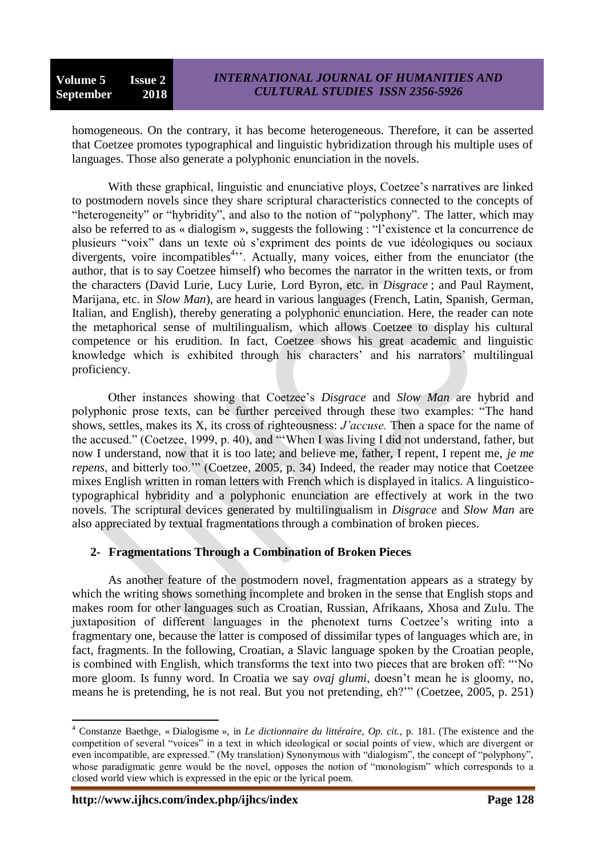homogeneous. On the contrary, it has become heterogeneous. Therefore, it can be asserted that Coetzee promotes typographical and linguistic hybridization through his multiple uses of languages. Those also generate a polyphonic enunciation in the novels.

With these graphical, linguistic and enunciative ploys, Coetzee's narratives are linked to postmodern novels since they share scriptural characteristics connected to the concepts of "heterogeneity" or "hybridity", and also to the notion of "polyphony". The latter, which may also be referred to as « dialogism », suggests the following : "l"existence et la concurrence de plusieurs "voix" dans un texte où s"expriment des points de vue idéologiques ou sociaux divergents, voire incompatibles<sup>4,,</sup> Actually, many voices, either from the enunciator (the author, that is to say Coetzee himself) who becomes the narrator in the written texts, or from the characters (David Lurie, Lucy Lurie, Lord Byron, etc. in *Disgrace* ; and Paul Rayment, Marijana, etc. in *Slow Man*), are heard in various languages (French, Latin, Spanish, German, Italian, and English), thereby generating a polyphonic enunciation. Here, the reader can note the metaphorical sense of multilingualism, which allows Coetzee to display his cultural competence or his erudition. In fact, Coetzee shows his great academic and linguistic knowledge which is exhibited through his characters' and his narrators' multilingual proficiency.

Other instances showing that Coetzee"s *Disgrace* and *Slow Man* are hybrid and polyphonic prose texts, can be further perceived through these two examples: "The hand shows, settles, makes its X, its cross of righteousness: *J"accuse.* Then a space for the name of the accused." (Coetzee, 1999, p. 40), and ""When I was living I did not understand, father, but now I understand, now that it is too late; and believe me, father, I repent, I repent me, *je me repens*, and bitterly too."" (Coetzee, 2005, p. 34) Indeed, the reader may notice that Coetzee mixes English written in roman letters with French which is displayed in italics. A linguisticotypographical hybridity and a polyphonic enunciation are effectively at work in the two novels. The scriptural devices generated by multilingualism in *Disgrace* and *Slow Man* are also appreciated by textual fragmentations through a combination of broken pieces.

## **2- Fragmentations Through a Combination of Broken Pieces**

As another feature of the postmodern novel, fragmentation appears as a strategy by which the writing shows something incomplete and broken in the sense that English stops and makes room for other languages such as Croatian, Russian, Afrikaans, Xhosa and Zulu. The juxtaposition of different languages in the phenotext turns Coetzee"s writing into a fragmentary one, because the latter is composed of dissimilar types of languages which are, in fact, fragments. In the following, Croatian, a Slavic language spoken by the Croatian people, is combined with English, which transforms the text into two pieces that are broken off: ""No more gloom. Is funny word. In Croatia we say *ovaj glumi*, doesn't mean he is gloomy, no, means he is pretending, he is not real. But you not pretending, eh?"" (Coetzee, 2005, p. 251)

 $\overline{a}$ <sup>4</sup> Constanze Baethge, « Dialogisme », in *Le dictionnaire du littéraire*, *Op. cit.,* p. 181. (The existence and the competition of several "voices" in a text in which ideological or social points of view, which are divergent or even incompatible, are expressed." (My translation) Synonymous with "dialogism", the concept of "polyphony", whose paradigmatic genre would be the novel, opposes the notion of "monologism" which corresponds to a closed world view which is expressed in the epic or the lyrical poem.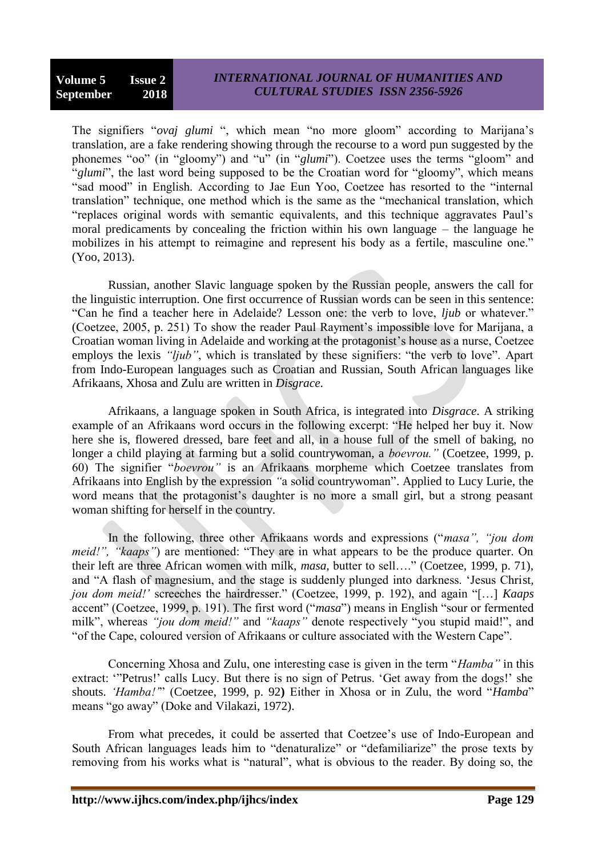## *INTERNATIONAL JOURNAL OF HUMANITIES AND CULTURAL STUDIES ISSN 2356-5926*

The signifiers "*ovaj glumi* ", which mean "no more gloom" according to Marijana"s translation, are a fake rendering showing through the recourse to a word pun suggested by the phonemes "oo" (in "gloomy") and "u" (in "*glumi*"). Coetzee uses the terms "gloom" and "*glumi*", the last word being supposed to be the Croatian word for "gloomy", which means "sad mood" in English. According to Jae Eun Yoo, Coetzee has resorted to the "internal translation" technique, one method which is the same as the "mechanical translation, which "replaces original words with semantic equivalents, and this technique aggravates Paul"s moral predicaments by concealing the friction within his own language – the language he mobilizes in his attempt to reimagine and represent his body as a fertile, masculine one." (Yoo, 2013).

Russian, another Slavic language spoken by the Russian people, answers the call for the linguistic interruption. One first occurrence of Russian words can be seen in this sentence: "Can he find a teacher here in Adelaide? Lesson one: the verb to love, *ljub* or whatever." (Coetzee, 2005, p. 251) To show the reader Paul Rayment's impossible love for Marijana, a Croatian woman living in Adelaide and working at the protagonist"s house as a nurse, Coetzee employs the lexis *"ljub"*, which is translated by these signifiers: "the verb to love". Apart from Indo-European languages such as Croatian and Russian, South African languages like Afrikaans, Xhosa and Zulu are written in *Disgrace.*

Afrikaans, a language spoken in South Africa, is integrated into *Disgrace.* A striking example of an Afrikaans word occurs in the following excerpt: "He helped her buy it. Now here she is, flowered dressed, bare feet and all, in a house full of the smell of baking, no longer a child playing at farming but a solid countrywoman, a *boevrou."* (Coetzee, 1999, p. 60) The signifier "*boevrou"* is an Afrikaans morpheme which Coetzee translates from Afrikaans into English by the expression *"*a solid countrywoman". Applied to Lucy Lurie, the word means that the protagonist's daughter is no more a small girl, but a strong peasant woman shifting for herself in the country.

In the following, three other Afrikaans words and expressions ("*masa", "jou dom meid!", "kaaps"*) are mentioned: "They are in what appears to be the produce quarter. On their left are three African women with milk, *masa,* butter to sell…." (Coetzee, 1999, p. 71), and "A flash of magnesium, and the stage is suddenly plunged into darkness. "Jesus Christ*, jou dom meid!"* screeches the hairdresser." (Coetzee, 1999, p. 192), and again "[…] *Kaaps*  accent" (Coetzee, 1999, p. 191). The first word ("*masa*") means in English "sour or fermented milk", whereas *"jou dom meid!"* and *"kaaps"* denote respectively "you stupid maid!", and "of the Cape, coloured version of Afrikaans or culture associated with the Western Cape".

Concerning Xhosa and Zulu, one interesting case is given in the term "*Hamba"* in this extract: "Petrus!" calls Lucy. But there is no sign of Petrus. 'Get away from the dogs!' she shouts. *"Hamba!"*" (Coetzee, 1999, p. 92**)** Either in Xhosa or in Zulu, the word "*Hamba*" means "go away" (Doke and Vilakazi, 1972).

From what precedes, it could be asserted that Coetzee's use of Indo-European and South African languages leads him to "denaturalize" or "defamiliarize" the prose texts by removing from his works what is "natural", what is obvious to the reader. By doing so, the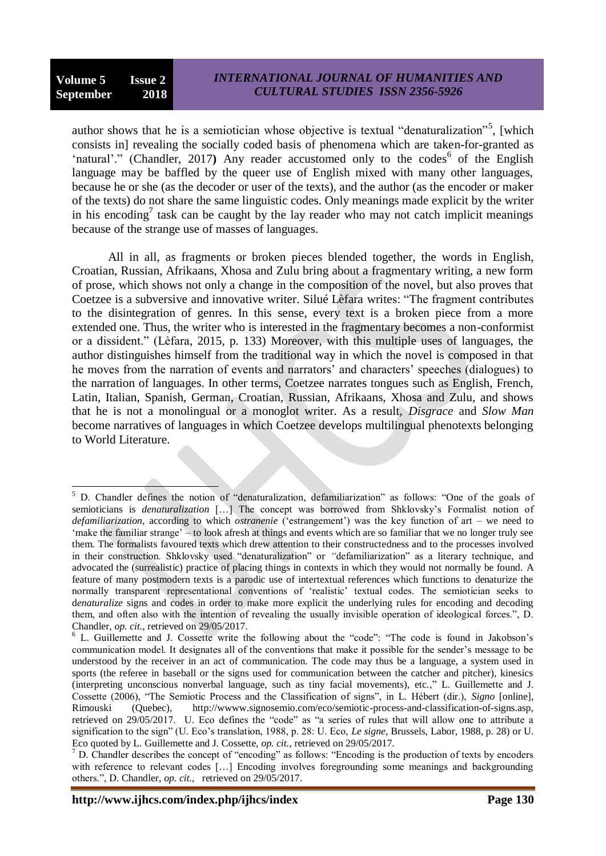author shows that he is a semiotician whose objective is textual "denaturalization"<sup>5</sup>, [which consists in] revealing the socially coded basis of phenomena which are taken-for-granted as 'natural'." (Chandler, 2017) Any reader accustomed only to the codes<sup>6</sup> of the English language may be baffled by the queer use of English mixed with many other languages, because he or she (as the decoder or user of the texts), and the author (as the encoder or maker of the texts) do not share the same linguistic codes. Only meanings made explicit by the writer in his encoding<sup>7</sup> task can be caught by the lay reader who may not catch implicit meanings because of the strange use of masses of languages.

All in all, as fragments or broken pieces blended together, the words in English, Croatian, Russian, Afrikaans, Xhosa and Zulu bring about a fragmentary writing, a new form of prose, which shows not only a change in the composition of the novel, but also proves that Coetzee is a subversive and innovative writer. Silué Lèfara writes: "The fragment contributes to the disintegration of genres. In this sense, every text is a broken piece from a more extended one. Thus, the writer who is interested in the fragmentary becomes a non-conformist or a dissident." (Lèfara, 2015, p. 133) Moreover, with this multiple uses of languages, the author distinguishes himself from the traditional way in which the novel is composed in that he moves from the narration of events and narrators' and characters' speeches (dialogues) to the narration of languages. In other terms, Coetzee narrates tongues such as English, French, Latin, Italian, Spanish, German, Croatian, Russian, Afrikaans, Xhosa and Zulu, and shows that he is not a monolingual or a monoglot writer. As a result, *Disgrace* and *Slow Man* become narratives of languages in which Coetzee develops multilingual phenotexts belonging to World Literature.

 $\overline{a}$ <sup>5</sup> D. Chandler defines the notion of "denaturalization*,* defamiliarization" as follows: "One of the goals of semioticians is *denaturalization* [...] The concept was borrowed from Shklovsky's Formalist notion of *defamiliarization*, according to which *ostranenie* ("estrangement") was the key function of art – we need to "make the familiar strange" – to look afresh at things and events which are so familiar that we no longer truly see them. The formalists favoured texts which drew attention to their constructedness and to the processes involved in their construction. Shklovsky used "denaturalization" or *"*defamiliarization" as a literary technique, and advocated the (surrealistic) practice of placing things in contexts in which they would not normally be found. A feature of many postmodern texts is a parodic use of intertextual references which functions to denaturize the normally transparent representational conventions of "realistic" textual codes. The semiotician seeks to d*enaturalize* signs and codes in order to make more explicit the underlying rules for encoding and decoding them, and often also with the intention of revealing the usually invisible operation of ideological forces.", D. Chandler, *op. cit.,* retrieved on 29/05/2017.

<sup>&</sup>lt;sup>6</sup> L. Guillemette and J. Cossette write the following about the "code": "The code is found in Jakobson's communication model. It designates all of the conventions that make it possible for the sender"s message to be understood by the receiver in an act of communication. The code may thus be a language, a system used in sports (the referee in baseball or the signs used for communication between the catcher and pitcher), kinesics (interpreting unconscious nonverbal language, such as tiny facial movements), etc.," L. Guillemette and J. Cossette (2006), "The Semiotic Process and the Classification of signs", in L. Hébert (dir.), *Signo* [online], Rimouski (Quebec), http://wwww.signosemio.com/eco/semiotic-process-and-classification-of-signs.asp, retrieved on 29/05/2017. U. Eco defines the "code" as "a series of rules that will allow one to attribute a signification to the sign" (U. Eco"s translation, 1988, p. 28: U. Eco, *Le signe*, Brussels, Labor, 1988, p. 28) or U. Eco quoted by L. Guillemette and J. Cossette, *op. cit.,* retrieved on 29/05/2017.

 $<sup>7</sup>$  D. Chandler describes the concept of "encoding" as follows: "Encoding is the production of texts by encoders</sup> with reference to relevant codes [...] Encoding involves foregrounding some meanings and backgrounding others.", D. Chandler, *op. cit.,* retrieved on 29/05/2017.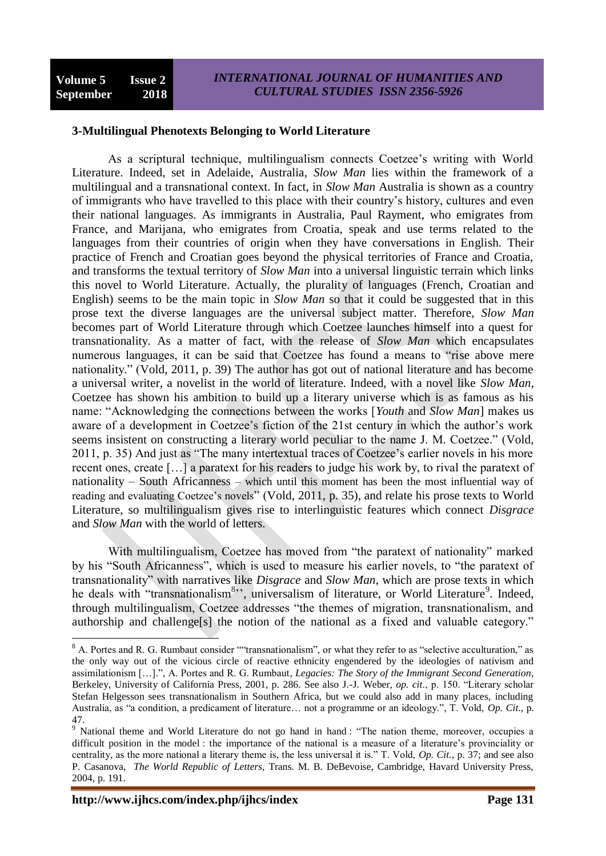### **3-Multilingual Phenotexts Belonging to World Literature**

As a scriptural technique, multilingualism connects Coetzee's writing with World Literature. Indeed, set in Adelaide, Australia, *Slow Man* lies within the framework of a multilingual and a transnational context. In fact, in *Slow Man* Australia is shown as a country of immigrants who have travelled to this place with their country"s history, cultures and even their national languages. As immigrants in Australia, Paul Rayment, who emigrates from France, and Marijana, who emigrates from Croatia, speak and use terms related to the languages from their countries of origin when they have conversations in English. Their practice of French and Croatian goes beyond the physical territories of France and Croatia, and transforms the textual territory of *Slow Man* into a universal linguistic terrain which links this novel to World Literature. Actually, the plurality of languages (French, Croatian and English) seems to be the main topic in *Slow Man* so that it could be suggested that in this prose text the diverse languages are the universal subject matter. Therefore, *Slow Man* becomes part of World Literature through which Coetzee launches himself into a quest for transnationality. As a matter of fact, with the release of *Slow Man* which encapsulates numerous languages, it can be said that Coetzee has found a means to "rise above mere nationality." (Vold, 2011, p. 39) The author has got out of national literature and has become a universal writer, a novelist in the world of literature. Indeed, with a novel like *Slow Man*, Coetzee has shown his ambition to build up a literary universe which is as famous as his name: "Acknowledging the connections between the works [*Youth* and *Slow Man*] makes us aware of a development in Coetzee's fiction of the 21st century in which the author's work seems insistent on constructing a literary world peculiar to the name J. M. Coetzee." (Vold, 2011, p. 35) And just as "The many intertextual traces of Coetzee"s earlier novels in his more recent ones, create […] a paratext for his readers to judge his work by, to rival the paratext of nationality – South Africanness – which until this moment has been the most influential way of reading and evaluating Coetzee"s novels" (Vold, 2011, p. 35), and relate his prose texts to World Literature, so multilingualism gives rise to interlinguistic features which connect *Disgrace* and *Slow Man* with the world of letters.

With multilingualism, Coetzee has moved from "the paratext of nationality" marked by his "South Africanness", which is used to measure his earlier novels, to "the paratext of transnationality" with narratives like *Disgrace* and *Slow Man*, which are prose texts in which he deals with "transnationalism<sup>8</sup>", universalism of literature, or World Literature<sup>9</sup>. Indeed, through multilingualism, Coetzee addresses "the themes of migration, transnationalism, and authorship and challenge[s] the notion of the national as a fixed and valuable category."

<sup>&</sup>lt;sup>8</sup> A. Portes and R. G. Rumbaut consider ""transnationalism", or what they refer to as "selective acculturation," as the only way out of the vicious circle of reactive ethnicity engendered by the ideologies of nativism and assimilationism […].", A. Portes and R. G. Rumbaut*, Legacies: The Story of the Immigrant Second Generation*, Berkeley, University of California Press, 2001, p. 286. See also J.-J. Weber, *op. cit*., p. 150. "Literary scholar Stefan Helgesson sees transnationalism in Southern Africa, but we could also add in many places, including Australia, as "a condition, a predicament of literature… not a programme or an ideology.", T. Vold, *Op. Cit*., p. 47.

 $\frac{97}{9}$  National theme and World Literature do not go hand in hand : "The nation theme, moreover, occupies a difficult position in the model : the importance of the national is a measure of a literature's provinciality or centrality, as the more national a literary theme is, the less universal it is." T. Vold, *Op. Cit.,* p. 37; and see also P. Casanova, *The World Republic of Letters*, Trans. M. B. DeBevoise, Cambridge, Havard University Press, 2004, p. 191.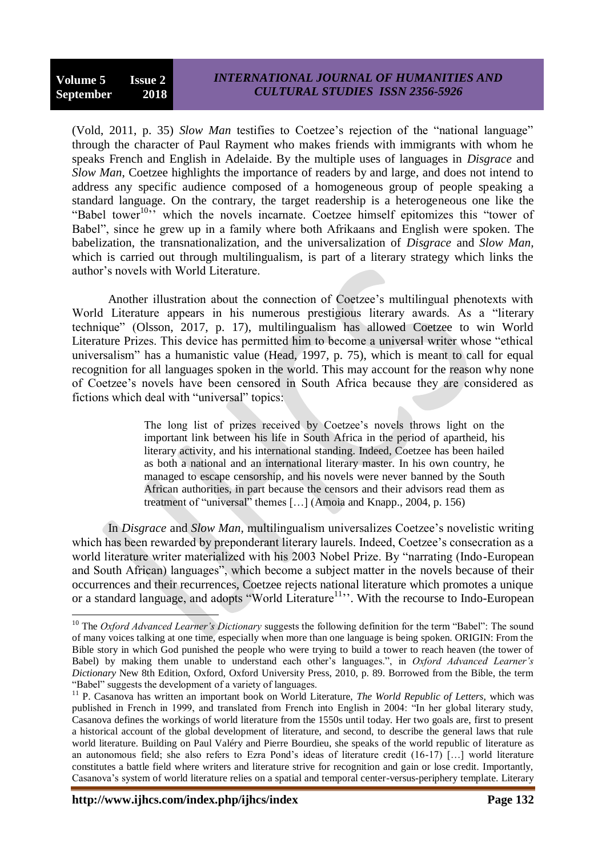$\overline{a}$ 

(Vold, 2011, p. 35) *Slow Man* testifies to Coetzee"s rejection of the "national language" through the character of Paul Rayment who makes friends with immigrants with whom he speaks French and English in Adelaide. By the multiple uses of languages in *Disgrace* and *Slow Man*, Coetzee highlights the importance of readers by and large, and does not intend to address any specific audience composed of a homogeneous group of people speaking a standard language. On the contrary, the target readership is a heterogeneous one like the "Babel tower<sup>10,7</sup> which the novels incarnate. Coetzee himself epitomizes this "tower of Babel", since he grew up in a family where both Afrikaans and English were spoken. The babelization, the transnationalization, and the universalization of *Disgrace* and *Slow Man,* which is carried out through multilingualism, is part of a literary strategy which links the author"s novels with World Literature.

Another illustration about the connection of Coetzee"s multilingual phenotexts with World Literature appears in his numerous prestigious literary awards. As a "literary technique" (Olsson, 2017, p. 17), multilingualism has allowed Coetzee to win World Literature Prizes. This device has permitted him to become a universal writer whose "ethical universalism" has a humanistic value (Head, 1997, p. 75), which is meant to call for equal recognition for all languages spoken in the world. This may account for the reason why none of Coetzee"s novels have been censored in South Africa because they are considered as fictions which deal with "universal" topics:

> The long list of prizes received by Coetzee"s novels throws light on the important link between his life in South Africa in the period of apartheid, his literary activity, and his international standing. Indeed, Coetzee has been hailed as both a national and an international literary master. In his own country, he managed to escape censorship, and his novels were never banned by the South African authorities, in part because the censors and their advisors read them as treatment of "universal" themes […] (Amoia and Knapp., 2004, p. 156)

In *Disgrace* and *Slow Man*, multilingualism universalizes Coetzee's novelistic writing which has been rewarded by preponderant literary laurels. Indeed, Coetzee's consecration as a world literature writer materialized with his 2003 Nobel Prize. By "narrating (Indo-European and South African) languages", which become a subject matter in the novels because of their occurrences and their recurrences, Coetzee rejects national literature which promotes a unique or a standard language, and adopts "World Literature<sup>11</sup>". With the recourse to Indo-European

<sup>&</sup>lt;sup>10</sup> The *Oxford Advanced Learner's Dictionary* suggests the following definition for the term "Babel": The sound of many voices talking at one time, especially when more than one language is being spoken. ORIGIN: From the Bible story in which God punished the people who were trying to build a tower to reach heaven (the tower of Babel) by making them unable to understand each other"s languages.", in *Oxford Advanced Learner"s Dictionary* New 8th Edition, Oxford, Oxford University Press, 2010, p. 89. Borrowed from the Bible, the term "Babel" suggests the development of a variety of languages.

<sup>&</sup>lt;sup>11</sup> P. Casanova has written an important book on World Literature, *The World Republic of Letters*, which was published in French in 1999, and translated from French into English in 2004: "In her global literary study, Casanova defines the workings of world literature from the 1550s until today. Her two goals are, first to present a historical account of the global development of literature, and second, to describe the general laws that rule world literature. Building on Paul Valéry and Pierre Bourdieu, she speaks of the world republic of literature as an autonomous field; she also refers to Ezra Pond"s ideas of literature credit (16-17) […] world literature constitutes a battle field where writers and literature strive for recognition and gain or lose credit. Importantly, Casanova"s system of world literature relies on a spatial and temporal center-versus-periphery template. Literary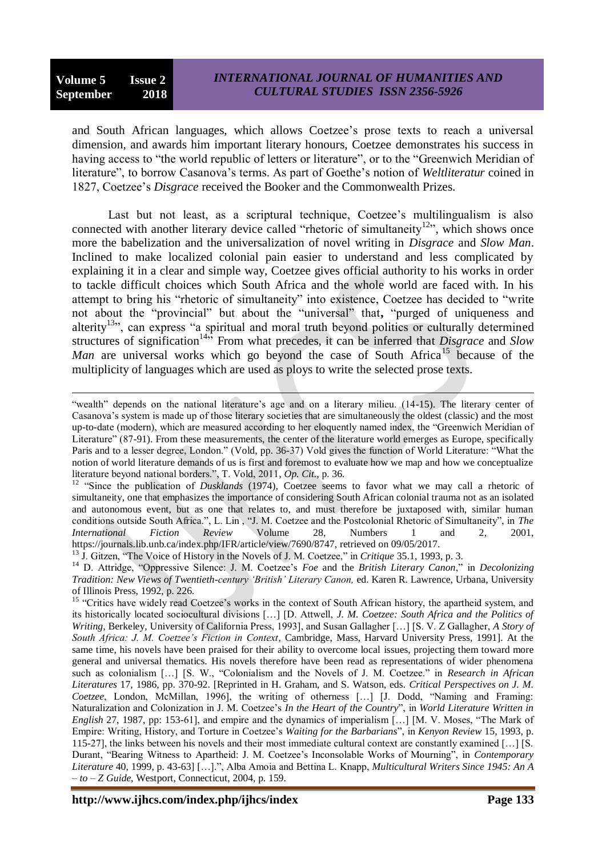$\overline{a}$ 

and South African languages, which allows Coetzee"s prose texts to reach a universal dimension, and awards him important literary honours, Coetzee demonstrates his success in having access to "the world republic of letters or literature", or to the "Greenwich Meridian of literature", to borrow Casanova"s terms. As part of Goethe"s notion of *Weltliteratur* coined in 1827, Coetzee"s *Disgrace* received the Booker and the Commonwealth Prizes.

Last but not least, as a scriptural technique, Coetzee's multilingualism is also connected with another literary device called "rhetoric of simultaneity<sup>12</sup>", which shows once more the babelization and the universalization of novel writing in *Disgrace* and *Slow Man*. Inclined to make localized colonial pain easier to understand and less complicated by explaining it in a clear and simple way, Coetzee gives official authority to his works in order to tackle difficult choices which South Africa and the whole world are faced with. In his attempt to bring his "rhetoric of simultaneity" into existence, Coetzee has decided to "write not about the "provincial" but about the "universal" that**,** "purged of uniqueness and alterity<sup>13</sup>, can express "a spiritual and moral truth beyond politics or culturally determined structures of signification<sup>14,4</sup> From what precedes, it can be inferred that *Disgrace* and *Slow Man* are universal works which go beyond the case of South Africa<sup>15</sup> because of the multiplicity of languages which are used as ploys to write the selected prose texts.

<sup>&</sup>quot;wealth" depends on the national literature's age and on a literary milieu. (14-15). The literary center of Casanova"s system is made up of those literary societies that are simultaneously the oldest (classic) and the most up-to-date (modern), which are measured according to her eloquently named index, the "Greenwich Meridian of Literature" (87-91). From these measurements, the center of the literature world emerges as Europe, specifically Paris and to a lesser degree, London." (Vold, pp. 36-37) Vold gives the function of World Literature: "What the notion of world literature demands of us is first and foremost to evaluate how we map and how we conceptualize literature beyond national borders.", T. Vold, 2011*, Op. Cit.,* p. 36.

<sup>&</sup>lt;sup>12</sup> "Since the publication of *Dusklands* (1974), Coetzee seems to favor what we may call a rhetoric of simultaneity, one that emphasizes the importance of considering South African colonial trauma not as an isolated and autonomous event, but as one that relates to, and must therefore be juxtaposed with, similar human conditions outside South Africa.", L. Lin , "J. M. Coetzee and the Postcolonial Rhetoric of Simultaneity", in *The International Fiction Review* Volume 28, Numbers 1 and 2, 2001, https://journals.lib.unb.ca/index.php/IFR/article/view/7690/8747, retrieved on 09/05/2017.

<sup>13</sup> J. Gitzen, "The Voice of History in the Novels of J. M. Coetzee," in *Critique* 35.1, 1993, p. 3.

<sup>&</sup>lt;sup>14</sup> D. Attridge, "Oppressive Silence: J. M. Coetzee's *Foe* and the *British Literary Canon*," in *Decolonizing Tradition: New Views of Twentieth-century "British" Literary Canon,* ed. Karen R. Lawrence, Urbana, University of Illinois Press, 1992, p. 226.

<sup>&</sup>lt;sup>15</sup> "Critics have widely read Coetzee's works in the context of South African history, the apartheid system, and its historically located sociocultural divisions […] [D. Attwell, *J. M. Coetzee: South Africa and the Politics of Writing,* Berkeley, University of California Press, 1993], and Susan Gallagher […] [S. V. Z Gallagher, *A Story of South Africa: J. M. Coetzee"s Fiction in Context*, Cambridge, Mass, Harvard University Press, 1991]. At the same time, his novels have been praised for their ability to overcome local issues, projecting them toward more general and universal thematics. His novels therefore have been read as representations of wider phenomena such as colonialism […] [S. W., "Colonialism and the Novels of J. M. Coetzee." in *Research in African Literatures* 17, 1986, pp. 370-92. [Reprinted in H. Graham, and S. Watson, eds. *Critical Perspectives on J. M. Coetzee*, London, McMillan, 1996], the writing of otherness […] [J. Dodd, "Naming and Framing: Naturalization and Colonization in J. M. Coetzee"s *In the Heart of the Country*", in *World Literature Written in English* 27, 1987, pp: 153-61], and empire and the dynamics of imperialism […] [M. V. Moses, "The Mark of Empire: Writing, History, and Torture in Coetzee"s *Waiting for the Barbarians*", in *Kenyon Review* 15, 1993, p. 115-27], the links between his novels and their most immediate cultural context are constantly examined […] [S. Durant, "Bearing Witness to Apartheid: J. M. Coetzee's Inconsolable Works of Mourning", in *Contemporary Literature* 40, 1999, p. 43-63] […].", Alba Amoia and Bettina L. Knapp, *Multicultural Writers Since 1945: An A – to – Z Guide*, Westport, Connecticut, 2004*,* p. 159.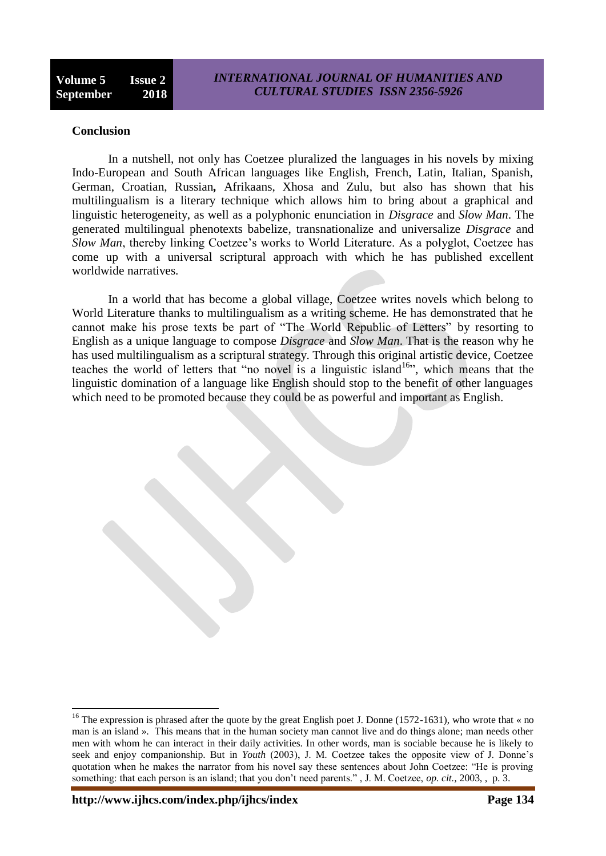#### **Conclusion**

In a nutshell, not only has Coetzee pluralized the languages in his novels by mixing Indo-European and South African languages like English, French, Latin, Italian, Spanish, German, Croatian, Russian*,* Afrikaans, Xhosa and Zulu, but also has shown that his multilingualism is a literary technique which allows him to bring about a graphical and linguistic heterogeneity, as well as a polyphonic enunciation in *Disgrace* and *Slow Man*. The generated multilingual phenotexts babelize, transnationalize and universalize *Disgrace* and *Slow Man*, thereby linking Coetzee's works to World Literature. As a polyglot, Coetzee has come up with a universal scriptural approach with which he has published excellent worldwide narratives.

In a world that has become a global village, Coetzee writes novels which belong to World Literature thanks to multilingualism as a writing scheme. He has demonstrated that he cannot make his prose texts be part of "The World Republic of Letters" by resorting to English as a unique language to compose *Disgrace* and *Slow Man*. That is the reason why he has used multilingualism as a scriptural strategy. Through this original artistic device, Coetzee teaches the world of letters that "no novel is a linguistic island<sup>16</sup>", which means that the linguistic domination of a language like English should stop to the benefit of other languages which need to be promoted because they could be as powerful and important as English.

<sup>&</sup>lt;sup>16</sup> The expression is phrased after the quote by the great English poet J. Donne (1572-1631), who wrote that « no man is an island ». This means that in the human society man cannot live and do things alone; man needs other men with whom he can interact in their daily activities. In other words, man is sociable because he is likely to seek and enjoy companionship. But in *Youth* (2003), J. M. Coetzee takes the opposite view of J. Donne"s quotation when he makes the narrator from his novel say these sentences about John Coetzee: "He is proving something: that each person is an island; that you don"t need parents." , J. M. Coetzee, *op. cit.,* 2003, , p. 3.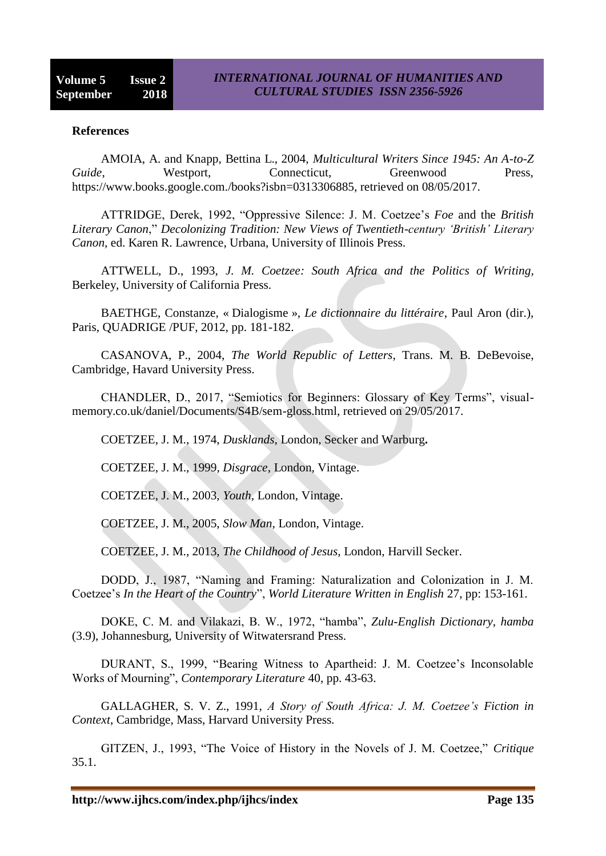### **References**

AMOIA, A. and Knapp, Bettina L., 2004, *Multicultural Writers Since 1945: An A-to-Z Guide*, **Westport, Connecticut, Greenwood** Press, https://www.books.google.com./books?isbn=0313306885, retrieved on 08/05/2017.

ATTRIDGE, Derek, 1992, "Oppressive Silence: J. M. Coetzee"s *Foe* and the *British Literary Canon*," *Decolonizing Tradition: New Views of Twentieth-century "British" Literary Canon,* ed. Karen R. Lawrence, Urbana, University of Illinois Press.

ATTWELL, D., 1993, *J. M. Coetzee: South Africa and the Politics of Writing,*  Berkeley, University of California Press.

BAETHGE, Constanze, « Dialogisme », *Le dictionnaire du littéraire*, Paul Aron (dir.), Paris, QUADRIGE /PUF, 2012, pp. 181-182.

CASANOVA, P., 2004, *The World Republic of Letters*, Trans. M. B. DeBevoise, Cambridge, Havard University Press.

CHANDLER, D., 2017, "Semiotics for Beginners: Glossary of Key Terms", visualmemory.co.uk/daniel/Documents/S4B/sem-gloss.html, retrieved on 29/05/2017.

COETZEE, J. M., 1974, *Dusklands*, London, Secker and Warburg**.**

COETZEE, J. M., 1999, *Disgrace*, London, Vintage.

COETZEE, J. M., 2003, *Youth,* London, Vintage.

COETZEE, J. M., 2005, *Slow Man*, London, Vintage.

COETZEE, J. M., 2013, *The Childhood of Jesus*, London, Harvill Secker.

DODD, J., 1987, "Naming and Framing: Naturalization and Colonization in J. M. Coetzee"s *In the Heart of the Country*", *World Literature Written in English* 27, pp: 153-161.

DOKE, C. M. and Vilakazi, B. W., 1972, "hamba", *Zulu-English Dictionary, hamba* (3.9), Johannesburg, University of Witwatersrand Press.

DURANT, S., 1999, "Bearing Witness to Apartheid: J. M. Coetzee"s Inconsolable Works of Mourning", *Contemporary Literature* 40, pp. 43-63.

GALLAGHER, S. V. Z., 1991, *A Story of South Africa: J. M. Coetzee"s Fiction in Context*, Cambridge, Mass, Harvard University Press.

GITZEN, J., 1993, "The Voice of History in the Novels of J. M. Coetzee," *Critique* 35.1.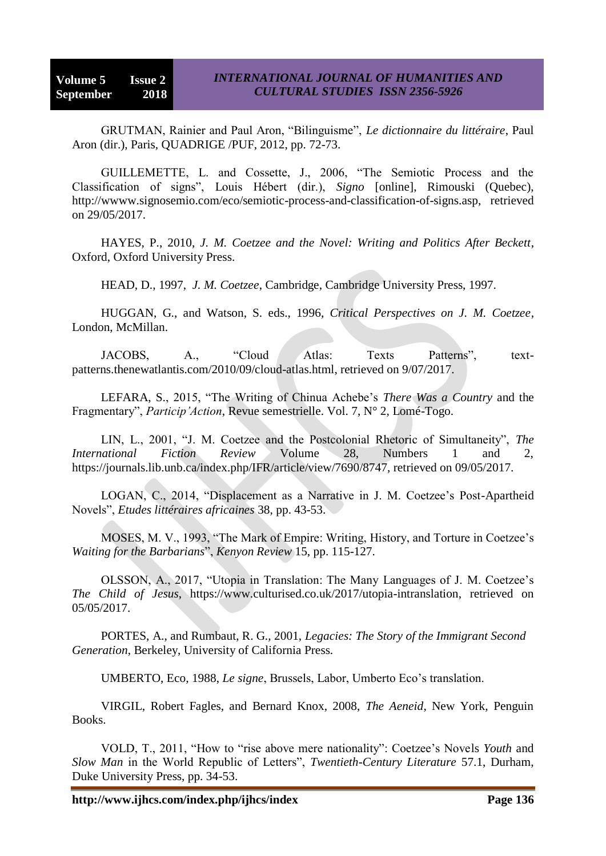GRUTMAN, Rainier and Paul Aron, "Bilinguisme", *Le dictionnaire du littéraire*, Paul Aron (dir.), Paris, QUADRIGE /PUF, 2012, pp. 72-73.

GUILLEMETTE, L. and Cossette, J., 2006, "The Semiotic Process and the Classification of signs", Louis Hébert (dir.), *Signo* [online], Rimouski (Quebec), http://wwww.signosemio.com/eco/semiotic-process-and-classification-of-signs.asp, retrieved on 29/05/2017.

HAYES, P., 2010, *J. M. Coetzee and the Novel: Writing and Politics After Beckett*, Oxford, Oxford University Press.

HEAD, D., 1997, *J. M. Coetzee*, Cambridge, Cambridge University Press, 1997.

HUGGAN, G., and Watson, S. eds., 1996, *Critical Perspectives on J. M. Coetzee*, London, McMillan.

JACOBS, A., "Cloud Atlas: Texts Patterns", textpatterns.thenewatlantis.com/2010/09/cloud-atlas.html, retrieved on 9/07/2017.

LEFARA, S., 2015, "The Writing of Chinua Achebe"s *There Was a Country* and the Fragmentary", *Particip"Action*, Revue semestrielle. Vol. 7, N° 2, Lomé-Togo.

LIN, L., 2001, "J. M. Coetzee and the Postcolonial Rhetoric of Simultaneity", *The International Fiction Review* Volume 28, Numbers 1 and 2, https://journals.lib.unb.ca/index.php/IFR/article/view/7690/8747, retrieved on 09/05/2017.

LOGAN, C., 2014, "Displacement as a Narrative in J. M. Coetzee"s Post-Apartheid Novels", *Etudes littéraires africaines* 38, pp. 43-53.

MOSES, M. V., 1993, "The Mark of Empire: Writing, History, and Torture in Coetzee"s *Waiting for the Barbarians*", *Kenyon Review* 15, pp. 115-127.

OLSSON, A., 2017, "Utopia in Translation: The Many Languages of J. M. Coetzee"s *The Child of Jesus*, [https://www.culturised.co.uk/2017/utopia-intranslation,](https://www.culturised.co.uk/2017/utopia-intranslation) retrieved on 05/05/2017.

PORTES, A., and Rumbaut, R. G.*,* 2001, *Legacies: The Story of the Immigrant Second Generation*, Berkeley, University of California Press.

UMBERTO, Eco, 1988, *Le signe*, Brussels, Labor, Umberto Eco"s translation.

VIRGIL, Robert Fagles, and Bernard Knox, 2008, *The Aeneid*, New York, Penguin Books.

VOLD, T., 2011, "How to "rise above mere nationality": Coetzee"s Novels *Youth* and *Slow Man* in the World Republic of Letters", *Twentieth-Century Literature* 57.1, Durham, Duke University Press, pp. 34-53.